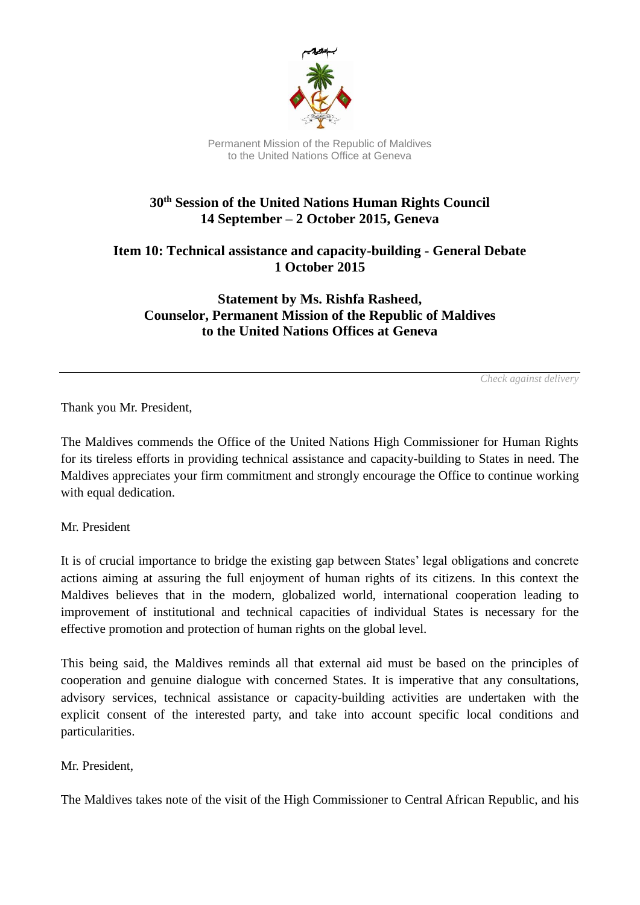

Permanent Mission of the Republic of Maldives to the United Nations Office at Geneva

## **30th Session of the United Nations Human Rights Council 14 September – 2 October 2015, Geneva**

**Item 10: Technical assistance and capacity-building - General Debate 1 October 2015**

**Statement by Ms. Rishfa Rasheed, Counselor, Permanent Mission of the Republic of Maldives to the United Nations Offices at Geneva**

*Check against delivery*

Thank you Mr. President,

The Maldives commends the Office of the United Nations High Commissioner for Human Rights for its tireless efforts in providing technical assistance and capacity-building to States in need. The Maldives appreciates your firm commitment and strongly encourage the Office to continue working with equal dedication.

Mr. President

It is of crucial importance to bridge the existing gap between States' legal obligations and concrete actions aiming at assuring the full enjoyment of human rights of its citizens. In this context the Maldives believes that in the modern, globalized world, international cooperation leading to improvement of institutional and technical capacities of individual States is necessary for the effective promotion and protection of human rights on the global level.

This being said, the Maldives reminds all that external aid must be based on the principles of cooperation and genuine dialogue with concerned States. It is imperative that any consultations, advisory services, technical assistance or capacity-building activities are undertaken with the explicit consent of the interested party, and take into account specific local conditions and particularities.

Mr. President,

The Maldives takes note of the visit of the High Commissioner to Central African Republic, and his